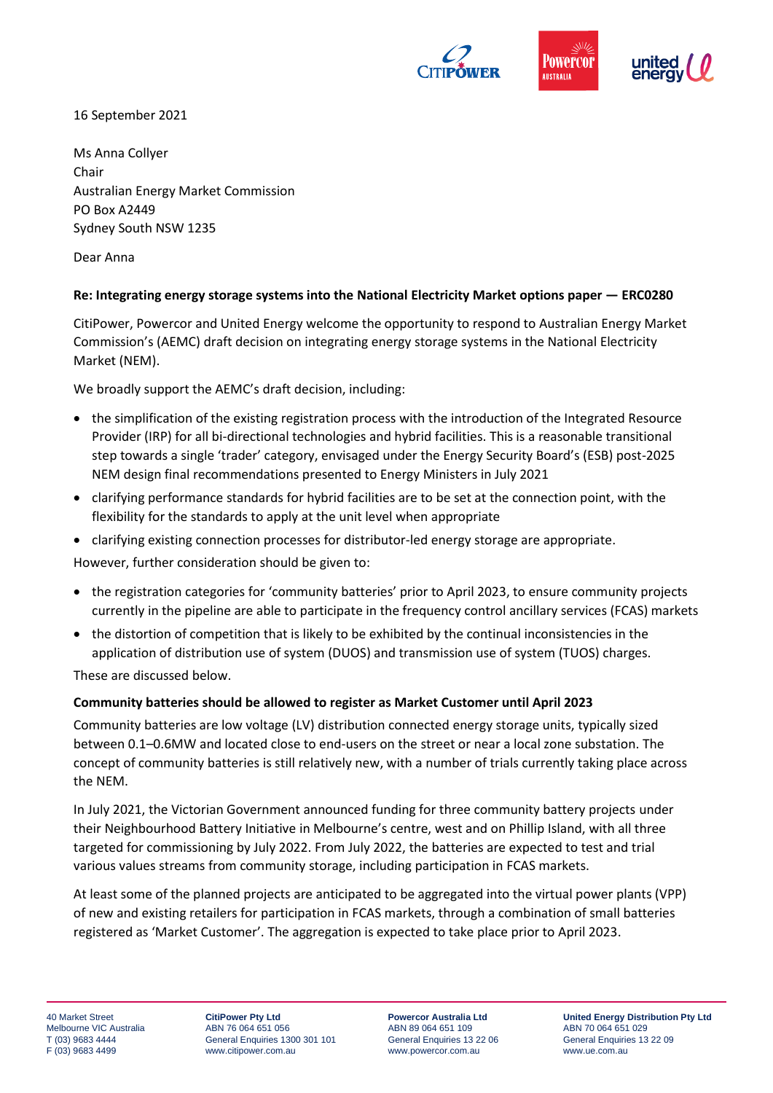

16 September 2021

Ms Anna Collyer Chair Australian Energy Market Commission PO Box A2449 Sydney South NSW 1235

Dear Anna

## **Re: Integrating energy storage systems into the National Electricity Market options paper — ERC0280**

CitiPower, Powercor and United Energy welcome the opportunity to respond to Australian Energy Market Commission's (AEMC) draft decision on integrating energy storage systems in the National Electricity Market (NEM).

We broadly support the AEMC's draft decision, including:

- the simplification of the existing registration process with the introduction of the Integrated Resource Provider (IRP) for all bi-directional technologies and hybrid facilities. This is a reasonable transitional step towards a single 'trader' category, envisaged under the Energy Security Board's (ESB) post-2025 NEM design final recommendations presented to Energy Ministers in July 2021
- clarifying performance standards for hybrid facilities are to be set at the connection point, with the flexibility for the standards to apply at the unit level when appropriate
- clarifying existing connection processes for distributor-led energy storage are appropriate.

However, further consideration should be given to:

- the registration categories for 'community batteries' prior to April 2023, to ensure community projects currently in the pipeline are able to participate in the frequency control ancillary services (FCAS) markets
- the distortion of competition that is likely to be exhibited by the continual inconsistencies in the application of distribution use of system (DUOS) and transmission use of system (TUOS) charges.

These are discussed below.

## **Community batteries should be allowed to register as Market Customer until April 2023**

Community batteries are low voltage (LV) distribution connected energy storage units, typically sized between 0.1–0.6MW and located close to end-users on the street or near a local zone substation. The concept of community batteries is still relatively new, with a number of trials currently taking place across the NEM.

In July 2021, the Victorian Government announced funding for three community battery projects under their Neighbourhood Battery Initiative in Melbourne's centre, west and on Phillip Island, with all three targeted for commissioning by July 2022. From July 2022, the batteries are expected to test and trial various values streams from community storage, including participation in FCAS markets.

At least some of the planned projects are anticipated to be aggregated into the virtual power plants (VPP) of new and existing retailers for participation in FCAS markets, through a combination of small batteries registered as 'Market Customer'. The aggregation is expected to take place prior to April 2023.

**CitiPower Pty Ltd** ABN 76 064 651 056 General Enquiries 1300 301 101 www.citipower.com.au

**Powercor Australia Ltd** ABN 89 064 651 109 General Enquiries 13 22 06 www.powercor.com.au

**United Energy Distribution Pty Ltd** ABN 70 064 651 029 General Enquiries 13 22 09 www.ue.com.au